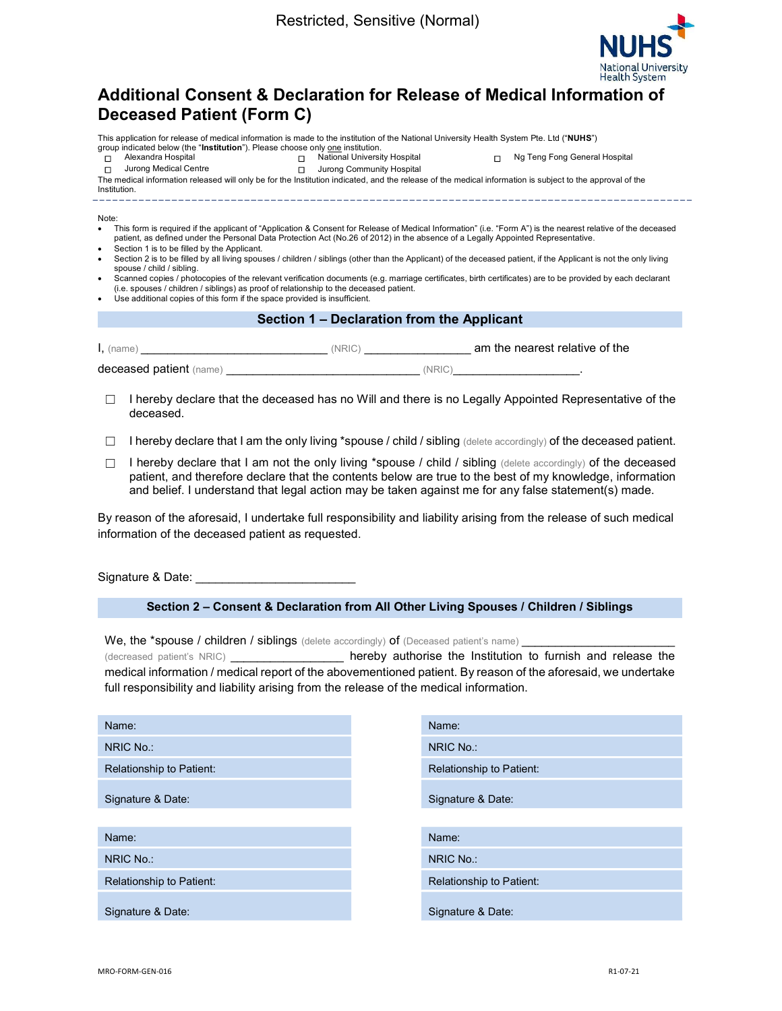

# Additional Consent & Declaration for Release of Medical Information of Deceased Patient (Form C)

This application for release of medical information is made to the institution of the National University Health System Pte. Ltd ("NUHS") group indicated below (the "Institution"). Please choose only one institution.

ם Alexandra Hospital ◯ Alexandra Hospital ◘ National University Hospital ◘ Ng Teng Fong General Hospital<br>□ Jurong Medical Centre □ コ Jurong Community Hospital **□** Jurong Community Hospital

The medical information released will only be for the Institution indicated, and the release of the medical information is subject to the approval of the

Institution. \_\_\_\_\_\_\_\_\_\_\_\_\_\_\_

Note:

- This form is required if the applicant of "Application & Consent for Release of Medical Information" (i.e. "Form A") is the nearest relative of the deceased patient, as defined under the Personal Data Protection Act (No.26 of 2012) in the absence of a Legally Appointed Representative.
- Section 1 is to be filled by the Applicant. Section 2 is to be filled by all living spouses / children / siblings (other than the Applicant) of the deceased patient, if the Applicant is not the only living spouse / child / sibling.
- Scanned copies / photocopies of the relevant verification documents (e.g. marriage certificates, birth certificates) are to be provided by each declarant (i.e. spouses / children / siblings) as proof of relationship to the deceased patient.
- Use additional copies of this form if the space provided is insufficient.

## Section 1 – Declaration from the Applicant

| $l,$ (name)             | 'NRIC | am the nearest relative of the |
|-------------------------|-------|--------------------------------|
| deceased patient (name) |       |                                |

- □ I hereby declare that the deceased has no Will and there is no Legally Appointed Representative of the deceased.
- $\Box$  I hereby declare that I am the only living \*spouse / child / sibling (delete accordingly) of the deceased patient.
- □ I hereby declare that I am not the only living \*spouse / child / sibling (delete accordingly) of the deceased patient, and therefore declare that the contents below are true to the best of my knowledge, information and belief. I understand that legal action may be taken against me for any false statement(s) made.

By reason of the aforesaid, I undertake full responsibility and liability arising from the release of such medical information of the deceased patient as requested.

Signature & Date:

## Section 2 – Consent & Declaration from All Other Living Spouses / Children / Siblings

We, the \*spouse / children / siblings (delete accordingly) of (Deceased patient's name)

(decreased patient's NRIC) **bereby authorise the Institution to furnish and release the** medical information / medical report of the abovementioned patient. By reason of the aforesaid, we undertake full responsibility and liability arising from the release of the medical information.

| Name:                    | Name:                    |
|--------------------------|--------------------------|
| NRIC No.:                | NRIC No.:                |
| Relationship to Patient: | Relationship to Patient: |
| Signature & Date:        | Signature & Date:        |
| Name:                    | Name:                    |
| NRIC No.:                | NRIC No.:                |
| Relationship to Patient: | Relationship to Patient: |
| Signature & Date:        | Signature & Date:        |